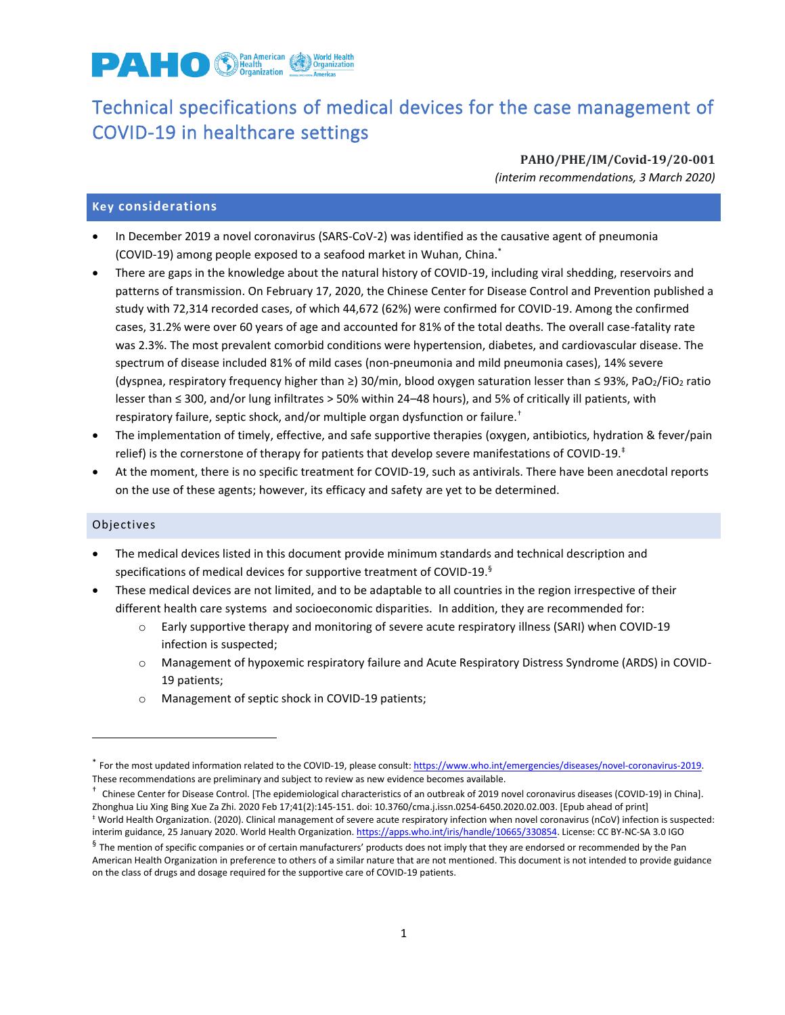

# Technical specifications of medical devices for the case management of COVID-19 in healthcare settings

**PAHO/PHE/IM/Covid-19/20-001** *(interim recommendations, 3 March 2020)*

#### **Key considerations**

- In December 2019 a novel coronavirus (SARS-CoV-2) was identified as the causative agent of pneumonia (COVID-19) among people exposed to a seafood market in Wuhan, China.\*
- There are gaps in the knowledge about the natural history of COVID-19, including viral shedding, reservoirs and patterns of transmission. On February 17, 2020, the Chinese Center for Disease Control and Prevention published a study with 72,314 recorded cases, of which 44,672 (62%) were confirmed for COVID-19. Among the confirmed cases, 31.2% were over 60 years of age and accounted for 81% of the total deaths. The overall case-fatality rate was 2.3%. The most prevalent comorbid conditions were hypertension, diabetes, and cardiovascular disease. The spectrum of disease included 81% of mild cases (non-pneumonia and mild pneumonia cases), 14% severe (dyspnea, respiratory frequency higher than ≥) 30/min, blood oxygen saturation lesser than ≤ 93%, PaO2/FiO<sup>2</sup> ratio lesser than ≤ 300, and/or lung infiltrates > 50% within 24–48 hours), and 5% of critically ill patients, with respiratory failure, septic shock, and/or multiple organ dysfunction or failure.†
- The implementation of timely, effective, and safe supportive therapies (oxygen, antibiotics, hydration & fever/pain relief) is the cornerstone of therapy for patients that develop severe manifestations of COVID-19. $^{\ddagger}$
- At the moment, there is no specific treatment for COVID-19, such as antivirals. There have been anecdotal reports on the use of these agents; however, its efficacy and safety are yet to be determined.

#### Objectives

 $\overline{a}$ 

- The medical devices listed in this document provide minimum standards and technical description and specifications of medical devices for supportive treatment of COVID-19.<sup>§</sup>
- These medical devices are not limited, and to be adaptable to all countries in the region irrespective of their different health care systems and socioeconomic disparities. In addition, they are recommended for:
	- o Early supportive therapy and monitoring of severe acute respiratory illness (SARI) when COVID-19 infection is suspected;
	- o Management of hypoxemic respiratory failure and Acute Respiratory Distress Syndrome (ARDS) in COVID-19 patients;
	- o Management of septic shock in COVID-19 patients;

<sup>\*</sup> For the most updated information related to the COVID-19, please consult: [https://www.who.int/emergencies/diseases/novel-coronavirus-2019.](https://www.who.int/emergencies/diseases/novel-coronavirus-2019) These recommendations are preliminary and subject to review as new evidence becomes available.

<sup>&</sup>lt;sup>†</sup> Chinese Center for Disease Control. [The epidemiological characteristics of an outbreak of 2019 novel coronavirus diseases (COVID-19) in China]. Zhonghua Liu Xing Bing Xue Za Zhi. 2020 Feb 17;41(2):145-151. doi: 10.3760/cma.j.issn.0254-6450.2020.02.003. [Epub ahead of print] ‡ World Health Organization. (2020). Clinical management of severe acute respiratory infection when novel coronavirus (nCoV) infection is suspected: interim guidance, 25 January 2020. World Health Organization[. https://apps.who.int/iris/handle/10665/330854.](https://apps.who.int/iris/handle/10665/330854) License: CC BY-NC-SA 3.0 IGO

 ${}^5$  The mention of specific companies or of certain manufacturers' products does not imply that they are endorsed or recommended by the Pan American Health Organization in preference to others of a similar nature that are not mentioned. This document is not intended to provide guidance on the class of drugs and dosage required for the supportive care of COVID-19 patients.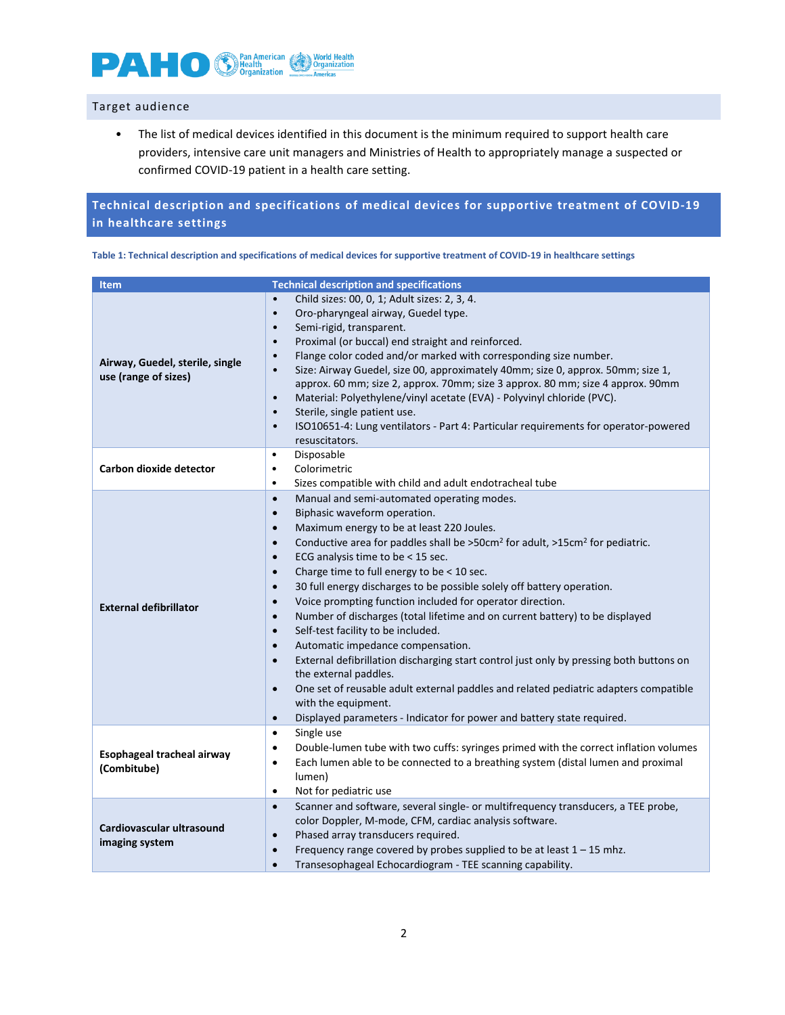

### Target audience

• The list of medical devices identified in this document is the minimum required to support health care providers, intensive care unit managers and Ministries of Health to appropriately manage a suspected or confirmed COVID-19 patient in a health care setting.

## **Technical description and specifications of medical devices for supportive treatment of COVID-19 in healthcare settings**

| Table 1: Technical description and specifications of medical devices for supportive treatment of COVID-19 in healthcare settings |  |
|----------------------------------------------------------------------------------------------------------------------------------|--|
|----------------------------------------------------------------------------------------------------------------------------------|--|

| <b>Item</b>                                             | <b>Technical description and specifications</b>                                                                                                                                                                                                                                                                                                                                                                                                                                                                                                                                                                                                                                                                                                                                                                                                                                                                                                                                                                                                                                                                         |
|---------------------------------------------------------|-------------------------------------------------------------------------------------------------------------------------------------------------------------------------------------------------------------------------------------------------------------------------------------------------------------------------------------------------------------------------------------------------------------------------------------------------------------------------------------------------------------------------------------------------------------------------------------------------------------------------------------------------------------------------------------------------------------------------------------------------------------------------------------------------------------------------------------------------------------------------------------------------------------------------------------------------------------------------------------------------------------------------------------------------------------------------------------------------------------------------|
| Airway, Guedel, sterile, single<br>use (range of sizes) | Child sizes: 00, 0, 1; Adult sizes: 2, 3, 4.<br>$\bullet$<br>Oro-pharyngeal airway, Guedel type.<br>$\bullet$<br>Semi-rigid, transparent.<br>$\bullet$<br>Proximal (or buccal) end straight and reinforced.<br>$\bullet$<br>Flange color coded and/or marked with corresponding size number.<br>$\bullet$<br>Size: Airway Guedel, size 00, approximately 40mm; size 0, approx. 50mm; size 1,<br>$\bullet$<br>approx. 60 mm; size 2, approx. 70mm; size 3 approx. 80 mm; size 4 approx. 90mm<br>Material: Polyethylene/vinyl acetate (EVA) - Polyvinyl chloride (PVC).<br>$\bullet$<br>Sterile, single patient use.<br>$\bullet$<br>ISO10651-4: Lung ventilators - Part 4: Particular requirements for operator-powered<br>$\bullet$<br>resuscitators.                                                                                                                                                                                                                                                                                                                                                                   |
| Carbon dioxide detector                                 | Disposable<br>$\bullet$<br>Colorimetric<br>$\bullet$<br>Sizes compatible with child and adult endotracheal tube<br>$\bullet$                                                                                                                                                                                                                                                                                                                                                                                                                                                                                                                                                                                                                                                                                                                                                                                                                                                                                                                                                                                            |
| <b>External defibrillator</b>                           | Manual and semi-automated operating modes.<br>$\bullet$<br>Biphasic waveform operation.<br>$\bullet$<br>Maximum energy to be at least 220 Joules.<br>$\bullet$<br>Conductive area for paddles shall be >50cm <sup>2</sup> for adult, >15cm <sup>2</sup> for pediatric.<br>$\bullet$<br>ECG analysis time to be < 15 sec.<br>$\bullet$<br>Charge time to full energy to be < 10 sec.<br>$\bullet$<br>30 full energy discharges to be possible solely off battery operation.<br>$\bullet$<br>Voice prompting function included for operator direction.<br>$\bullet$<br>Number of discharges (total lifetime and on current battery) to be displayed<br>$\bullet$<br>Self-test facility to be included.<br>$\bullet$<br>Automatic impedance compensation.<br>$\bullet$<br>External defibrillation discharging start control just only by pressing both buttons on<br>$\bullet$<br>the external paddles.<br>One set of reusable adult external paddles and related pediatric adapters compatible<br>$\bullet$<br>with the equipment.<br>Displayed parameters - Indicator for power and battery state required.<br>$\bullet$ |
| Esophageal tracheal airway<br>(Combitube)               | Single use<br>$\bullet$<br>Double-lumen tube with two cuffs: syringes primed with the correct inflation volumes<br>$\bullet$<br>Each lumen able to be connected to a breathing system (distal lumen and proximal<br>$\bullet$<br>lumen)<br>Not for pediatric use<br>$\bullet$                                                                                                                                                                                                                                                                                                                                                                                                                                                                                                                                                                                                                                                                                                                                                                                                                                           |
| Cardiovascular ultrasound<br>imaging system             | Scanner and software, several single- or multifrequency transducers, a TEE probe,<br>$\bullet$<br>color Doppler, M-mode, CFM, cardiac analysis software.<br>Phased array transducers required.<br>$\bullet$<br>Frequency range covered by probes supplied to be at least $1 - 15$ mhz.<br>$\bullet$<br>Transesophageal Echocardiogram - TEE scanning capability.<br>$\bullet$                                                                                                                                                                                                                                                                                                                                                                                                                                                                                                                                                                                                                                                                                                                                           |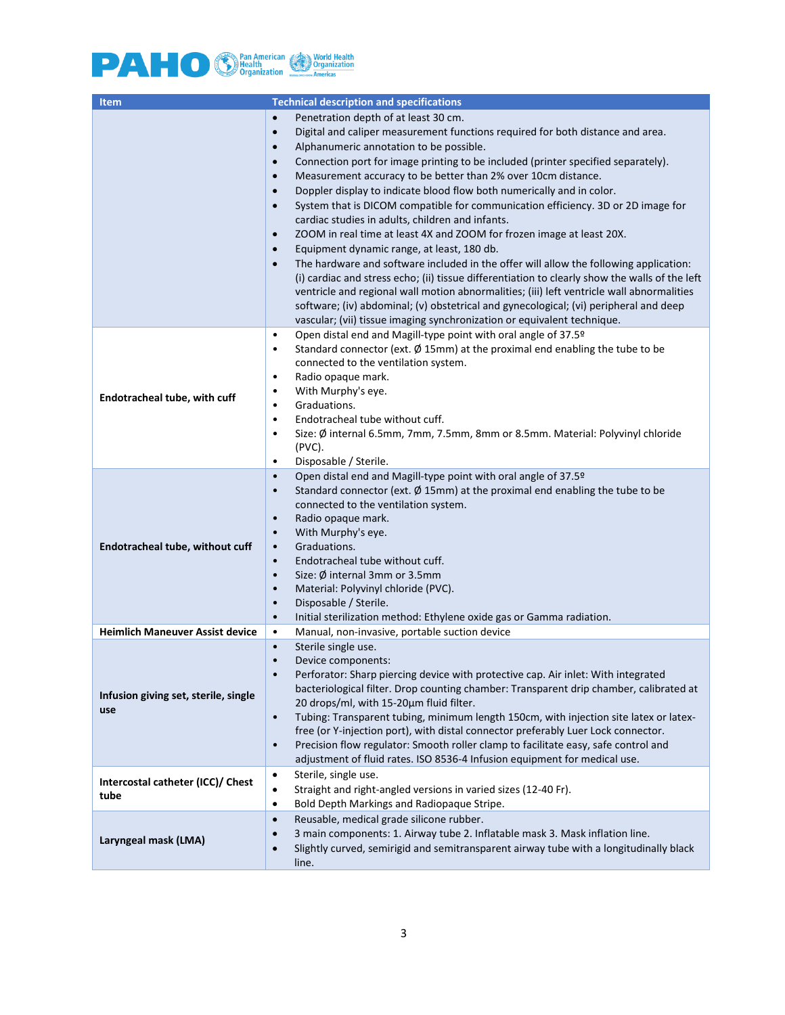

| <b>Technical description and specifications</b><br>Item |                                                                                                                                                                                                                                                                                                                                                                                                                                                                                                                                                                                                                                                                                                                                                                                                                                                                                                                                                                                                                                                                                                                                                                                                                                                               |  |
|---------------------------------------------------------|---------------------------------------------------------------------------------------------------------------------------------------------------------------------------------------------------------------------------------------------------------------------------------------------------------------------------------------------------------------------------------------------------------------------------------------------------------------------------------------------------------------------------------------------------------------------------------------------------------------------------------------------------------------------------------------------------------------------------------------------------------------------------------------------------------------------------------------------------------------------------------------------------------------------------------------------------------------------------------------------------------------------------------------------------------------------------------------------------------------------------------------------------------------------------------------------------------------------------------------------------------------|--|
|                                                         | Penetration depth of at least 30 cm.<br>$\bullet$<br>Digital and caliper measurement functions required for both distance and area.<br>$\bullet$<br>Alphanumeric annotation to be possible.<br>$\bullet$<br>Connection port for image printing to be included (printer specified separately).<br>$\bullet$<br>Measurement accuracy to be better than 2% over 10cm distance.<br>$\bullet$<br>Doppler display to indicate blood flow both numerically and in color.<br>$\bullet$<br>System that is DICOM compatible for communication efficiency. 3D or 2D image for<br>$\bullet$<br>cardiac studies in adults, children and infants.<br>ZOOM in real time at least 4X and ZOOM for frozen image at least 20X.<br>$\bullet$<br>Equipment dynamic range, at least, 180 db.<br>$\bullet$<br>The hardware and software included in the offer will allow the following application:<br>$\bullet$<br>(i) cardiac and stress echo; (ii) tissue differentiation to clearly show the walls of the left<br>ventricle and regional wall motion abnormalities; (iii) left ventricle wall abnormalities<br>software; (iv) abdominal; (v) obstetrical and gynecological; (vi) peripheral and deep<br>vascular; (vii) tissue imaging synchronization or equivalent technique. |  |
| Endotracheal tube, with cuff                            | Open distal end and Magill-type point with oral angle of 37.5º<br>$\bullet$<br>Standard connector (ext. $\emptyset$ 15mm) at the proximal end enabling the tube to be<br>$\bullet$<br>connected to the ventilation system.<br>Radio opaque mark.<br>$\bullet$<br>With Murphy's eye.<br>$\bullet$<br>Graduations.<br>$\bullet$<br>Endotracheal tube without cuff.<br>$\bullet$<br>Size: Ø internal 6.5mm, 7mm, 7.5mm, 8mm or 8.5mm. Material: Polyvinyl chloride<br>$\bullet$<br>$(PVC)$ .<br>Disposable / Sterile.<br>$\bullet$                                                                                                                                                                                                                                                                                                                                                                                                                                                                                                                                                                                                                                                                                                                               |  |
| Endotracheal tube, without cuff                         | Open distal end and Magill-type point with oral angle of 37.5º<br>$\bullet$<br>Standard connector (ext. $\emptyset$ 15mm) at the proximal end enabling the tube to be<br>$\bullet$<br>connected to the ventilation system.<br>Radio opaque mark.<br>$\bullet$<br>With Murphy's eye.<br>$\bullet$<br>Graduations.<br>$\bullet$<br>Endotracheal tube without cuff.<br>$\bullet$<br>Size: Ø internal 3mm or 3.5mm<br>$\bullet$<br>Material: Polyvinyl chloride (PVC).<br>$\bullet$<br>Disposable / Sterile.<br>$\bullet$<br>Initial sterilization method: Ethylene oxide gas or Gamma radiation.<br>$\bullet$                                                                                                                                                                                                                                                                                                                                                                                                                                                                                                                                                                                                                                                    |  |
| <b>Heimlich Maneuver Assist device</b>                  | Manual, non-invasive, portable suction device<br>$\bullet$                                                                                                                                                                                                                                                                                                                                                                                                                                                                                                                                                                                                                                                                                                                                                                                                                                                                                                                                                                                                                                                                                                                                                                                                    |  |
| Infusion giving set, sterile, single<br>use             | Sterile single use.<br>$\bullet$<br>Device components:<br>$\bullet$<br>Perforator: Sharp piercing device with protective cap. Air inlet: With integrated<br>bacteriological filter. Drop counting chamber: Transparent drip chamber, calibrated at<br>20 drops/ml, with 15-20µm fluid filter.<br>Tubing: Transparent tubing, minimum length 150cm, with injection site latex or latex-<br>$\bullet$<br>free (or Y-injection port), with distal connector preferably Luer Lock connector.<br>Precision flow regulator: Smooth roller clamp to facilitate easy, safe control and<br>$\bullet$<br>adjustment of fluid rates. ISO 8536-4 Infusion equipment for medical use.                                                                                                                                                                                                                                                                                                                                                                                                                                                                                                                                                                                      |  |
| Intercostal catheter (ICC)/ Chest<br>tube               | Sterile, single use.<br>$\bullet$<br>Straight and right-angled versions in varied sizes (12-40 Fr).<br>$\bullet$<br>Bold Depth Markings and Radiopaque Stripe.<br>$\bullet$                                                                                                                                                                                                                                                                                                                                                                                                                                                                                                                                                                                                                                                                                                                                                                                                                                                                                                                                                                                                                                                                                   |  |
| Laryngeal mask (LMA)                                    | Reusable, medical grade silicone rubber.<br>$\bullet$<br>3 main components: 1. Airway tube 2. Inflatable mask 3. Mask inflation line.<br>$\bullet$<br>Slightly curved, semirigid and semitransparent airway tube with a longitudinally black<br>$\bullet$<br>line.                                                                                                                                                                                                                                                                                                                                                                                                                                                                                                                                                                                                                                                                                                                                                                                                                                                                                                                                                                                            |  |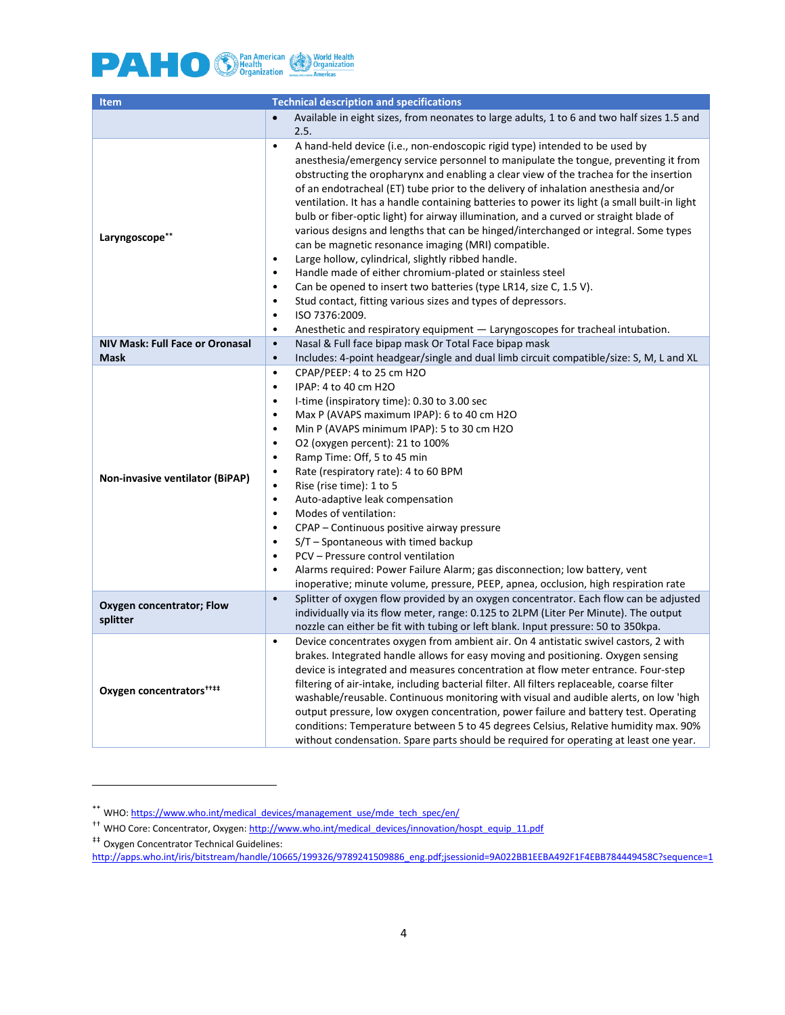

| <b>Item</b>                            | <b>Technical description and specifications</b>                                                                                                                                                                                                                                                                                                                                                                                                                                                                                                                                                                                                                                                                                                                                                                                                                                                                                                                                                                                                                                                                                                 |  |  |
|----------------------------------------|-------------------------------------------------------------------------------------------------------------------------------------------------------------------------------------------------------------------------------------------------------------------------------------------------------------------------------------------------------------------------------------------------------------------------------------------------------------------------------------------------------------------------------------------------------------------------------------------------------------------------------------------------------------------------------------------------------------------------------------------------------------------------------------------------------------------------------------------------------------------------------------------------------------------------------------------------------------------------------------------------------------------------------------------------------------------------------------------------------------------------------------------------|--|--|
|                                        | Available in eight sizes, from neonates to large adults, 1 to 6 and two half sizes 1.5 and<br>$\bullet$                                                                                                                                                                                                                                                                                                                                                                                                                                                                                                                                                                                                                                                                                                                                                                                                                                                                                                                                                                                                                                         |  |  |
|                                        | 2.5.                                                                                                                                                                                                                                                                                                                                                                                                                                                                                                                                                                                                                                                                                                                                                                                                                                                                                                                                                                                                                                                                                                                                            |  |  |
| Laryngoscope**                         | A hand-held device (i.e., non-endoscopic rigid type) intended to be used by<br>$\bullet$<br>anesthesia/emergency service personnel to manipulate the tongue, preventing it from<br>obstructing the oropharynx and enabling a clear view of the trachea for the insertion<br>of an endotracheal (ET) tube prior to the delivery of inhalation anesthesia and/or<br>ventilation. It has a handle containing batteries to power its light (a small built-in light<br>bulb or fiber-optic light) for airway illumination, and a curved or straight blade of<br>various designs and lengths that can be hinged/interchanged or integral. Some types<br>can be magnetic resonance imaging (MRI) compatible.<br>Large hollow, cylindrical, slightly ribbed handle.<br>$\bullet$<br>Handle made of either chromium-plated or stainless steel<br>$\bullet$<br>Can be opened to insert two batteries (type LR14, size C, 1.5 V).<br>$\bullet$<br>$\bullet$<br>Stud contact, fitting various sizes and types of depressors.<br>ISO 7376:2009.<br>$\bullet$<br>$\bullet$<br>Anesthetic and respiratory equipment $-$ Laryngoscopes for tracheal intubation. |  |  |
| <b>NIV Mask: Full Face or Oronasal</b> | Nasal & Full face bipap mask Or Total Face bipap mask<br>$\bullet$                                                                                                                                                                                                                                                                                                                                                                                                                                                                                                                                                                                                                                                                                                                                                                                                                                                                                                                                                                                                                                                                              |  |  |
| <b>Mask</b>                            | Includes: 4-point headgear/single and dual limb circuit compatible/size: S, M, L and XL<br>$\bullet$                                                                                                                                                                                                                                                                                                                                                                                                                                                                                                                                                                                                                                                                                                                                                                                                                                                                                                                                                                                                                                            |  |  |
| Non-invasive ventilator (BiPAP)        | CPAP/PEEP: 4 to 25 cm H2O<br>$\bullet$<br>IPAP: 4 to 40 cm H2O<br>$\bullet$<br>I-time (inspiratory time): 0.30 to 3.00 sec<br>$\bullet$<br>Max P (AVAPS maximum IPAP): 6 to 40 cm H2O<br>$\bullet$<br>Min P (AVAPS minimum IPAP): 5 to 30 cm H2O<br>$\bullet$<br>O2 (oxygen percent): 21 to 100%<br>$\bullet$<br>$\bullet$<br>Ramp Time: Off, 5 to 45 min<br>Rate (respiratory rate): 4 to 60 BPM<br>$\bullet$<br>Rise (rise time): 1 to 5<br>$\bullet$<br>Auto-adaptive leak compensation<br>$\bullet$<br>Modes of ventilation:<br>$\bullet$<br>CPAP – Continuous positive airway pressure<br>$\bullet$<br>$S/T$ – Spontaneous with timed backup<br>$\bullet$<br>PCV - Pressure control ventilation<br>$\bullet$<br>Alarms required: Power Failure Alarm; gas disconnection; low battery, vent<br>$\bullet$<br>inoperative; minute volume, pressure, PEEP, apnea, occlusion, high respiration rate                                                                                                                                                                                                                                             |  |  |
| Oxygen concentrator; Flow<br>splitter  | $\bullet$<br>Splitter of oxygen flow provided by an oxygen concentrator. Each flow can be adjusted<br>individually via its flow meter, range: 0.125 to 2LPM (Liter Per Minute). The output<br>nozzle can either be fit with tubing or left blank. Input pressure: 50 to 350kpa.                                                                                                                                                                                                                                                                                                                                                                                                                                                                                                                                                                                                                                                                                                                                                                                                                                                                 |  |  |
| Oxygen concentrators <sup>****</sup>   | Device concentrates oxygen from ambient air. On 4 antistatic swivel castors, 2 with<br>$\bullet$<br>brakes. Integrated handle allows for easy moving and positioning. Oxygen sensing<br>device is integrated and measures concentration at flow meter entrance. Four-step<br>filtering of air-intake, including bacterial filter. All filters replaceable, coarse filter<br>washable/reusable. Continuous monitoring with visual and audible alerts, on low 'high<br>output pressure, low oxygen concentration, power failure and battery test. Operating<br>conditions: Temperature between 5 to 45 degrees Celsius, Relative humidity max. 90%<br>without condensation. Spare parts should be required for operating at least one year.                                                                                                                                                                                                                                                                                                                                                                                                       |  |  |

 $\overline{a}$ 

<sup>\*\*</sup> WHO[: https://www.who.int/medical\\_devices/management\\_use/mde\\_tech\\_spec/en/](https://www.who.int/medical_devices/management_use/mde_tech_spec/en/)

<sup>&</sup>lt;sup>††</sup> WHO Core: Concentrator, Oxygen[: http://www.who.int/medical\\_devices/innovation/hospt\\_equip\\_11.pdf](http://www.who.int/medical_devices/innovation/hospt_equip_11.pdf)

<sup>‡‡</sup> Oxygen Concentrator Technical Guidelines:

[http://apps.who.int/iris/bitstream/handle/10665/199326/9789241509886\\_eng.pdf;jsessionid=9A022BB1EEBA492F1F4EBB784449458C?sequence=1](http://apps.who.int/iris/bitstream/handle/10665/199326/9789241509886_eng.pdf;jsessionid=9A022BB1EEBA492F1F4EBB784449458C?sequence=1)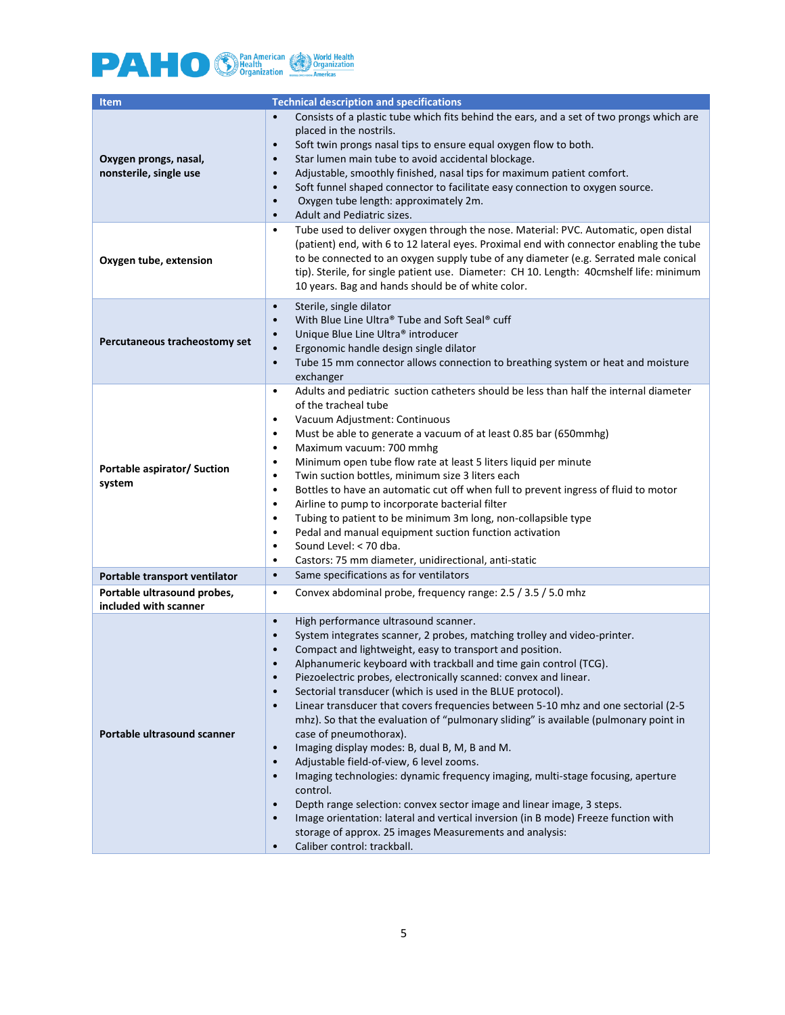

| <b>Item</b>                                          | <b>Technical description and specifications</b>                                                                                                                                                                                                                                                                                                                                                                                                                                                                                                                                                                                                                                                                                                                                                                                                                                                                                                                                                                                                                                                                                                                                                                          |
|------------------------------------------------------|--------------------------------------------------------------------------------------------------------------------------------------------------------------------------------------------------------------------------------------------------------------------------------------------------------------------------------------------------------------------------------------------------------------------------------------------------------------------------------------------------------------------------------------------------------------------------------------------------------------------------------------------------------------------------------------------------------------------------------------------------------------------------------------------------------------------------------------------------------------------------------------------------------------------------------------------------------------------------------------------------------------------------------------------------------------------------------------------------------------------------------------------------------------------------------------------------------------------------|
| Oxygen prongs, nasal,<br>nonsterile, single use      | Consists of a plastic tube which fits behind the ears, and a set of two prongs which are<br>$\bullet$<br>placed in the nostrils.<br>Soft twin prongs nasal tips to ensure equal oxygen flow to both.<br>$\bullet$<br>Star lumen main tube to avoid accidental blockage.<br>$\bullet$<br>Adjustable, smoothly finished, nasal tips for maximum patient comfort.<br>$\bullet$<br>Soft funnel shaped connector to facilitate easy connection to oxygen source.<br>$\bullet$<br>Oxygen tube length: approximately 2m.<br>$\bullet$<br>Adult and Pediatric sizes.<br>$\bullet$                                                                                                                                                                                                                                                                                                                                                                                                                                                                                                                                                                                                                                                |
| Oxygen tube, extension                               | Tube used to deliver oxygen through the nose. Material: PVC. Automatic, open distal<br>$\bullet$<br>(patient) end, with 6 to 12 lateral eyes. Proximal end with connector enabling the tube<br>to be connected to an oxygen supply tube of any diameter (e.g. Serrated male conical<br>tip). Sterile, for single patient use. Diameter: CH 10. Length: 40cmshelf life: minimum<br>10 years. Bag and hands should be of white color.                                                                                                                                                                                                                                                                                                                                                                                                                                                                                                                                                                                                                                                                                                                                                                                      |
| Percutaneous tracheostomy set                        | Sterile, single dilator<br>$\bullet$<br>With Blue Line Ultra® Tube and Soft Seal® cuff<br>$\bullet$<br>Unique Blue Line Ultra® introducer<br>$\bullet$<br>Ergonomic handle design single dilator<br>$\bullet$<br>Tube 15 mm connector allows connection to breathing system or heat and moisture<br>$\bullet$<br>exchanger                                                                                                                                                                                                                                                                                                                                                                                                                                                                                                                                                                                                                                                                                                                                                                                                                                                                                               |
| Portable aspirator/ Suction<br>system                | Adults and pediatric suction catheters should be less than half the internal diameter<br>$\bullet$<br>of the tracheal tube<br>Vacuum Adjustment: Continuous<br>$\bullet$<br>Must be able to generate a vacuum of at least 0.85 bar (650mmhg)<br>$\bullet$<br>Maximum vacuum: 700 mmhg<br>$\bullet$<br>Minimum open tube flow rate at least 5 liters liquid per minute<br>$\bullet$<br>Twin suction bottles, minimum size 3 liters each<br>$\bullet$<br>Bottles to have an automatic cut off when full to prevent ingress of fluid to motor<br>$\bullet$<br>Airline to pump to incorporate bacterial filter<br>$\bullet$<br>Tubing to patient to be minimum 3m long, non-collapsible type<br>$\bullet$<br>Pedal and manual equipment suction function activation<br>$\bullet$<br>Sound Level: < 70 dba.<br>$\bullet$<br>Castors: 75 mm diameter, unidirectional, anti-static<br>$\bullet$                                                                                                                                                                                                                                                                                                                                 |
| Portable transport ventilator                        | Same specifications as for ventilators<br>$\bullet$                                                                                                                                                                                                                                                                                                                                                                                                                                                                                                                                                                                                                                                                                                                                                                                                                                                                                                                                                                                                                                                                                                                                                                      |
| Portable ultrasound probes,<br>included with scanner | Convex abdominal probe, frequency range: 2.5 / 3.5 / 5.0 mhz<br>$\bullet$                                                                                                                                                                                                                                                                                                                                                                                                                                                                                                                                                                                                                                                                                                                                                                                                                                                                                                                                                                                                                                                                                                                                                |
| Portable ultrasound scanner                          | High performance ultrasound scanner.<br>$\bullet$<br>System integrates scanner, 2 probes, matching trolley and video-printer.<br>$\bullet$<br>Compact and lightweight, easy to transport and position.<br>$\bullet$<br>Alphanumeric keyboard with trackball and time gain control (TCG).<br>$\bullet$<br>Piezoelectric probes, electronically scanned: convex and linear.<br>$\bullet$<br>Sectorial transducer (which is used in the BLUE protocol).<br>$\bullet$<br>Linear transducer that covers frequencies between 5-10 mhz and one sectorial (2-5<br>$\bullet$<br>mhz). So that the evaluation of "pulmonary sliding" is available (pulmonary point in<br>case of pneumothorax).<br>Imaging display modes: B, dual B, M, B and M.<br>$\bullet$<br>Adjustable field-of-view, 6 level zooms.<br>$\bullet$<br>Imaging technologies: dynamic frequency imaging, multi-stage focusing, aperture<br>$\bullet$<br>control.<br>Depth range selection: convex sector image and linear image, 3 steps.<br>$\bullet$<br>Image orientation: lateral and vertical inversion (in B mode) Freeze function with<br>$\bullet$<br>storage of approx. 25 images Measurements and analysis:<br>Caliber control: trackball.<br>$\bullet$ |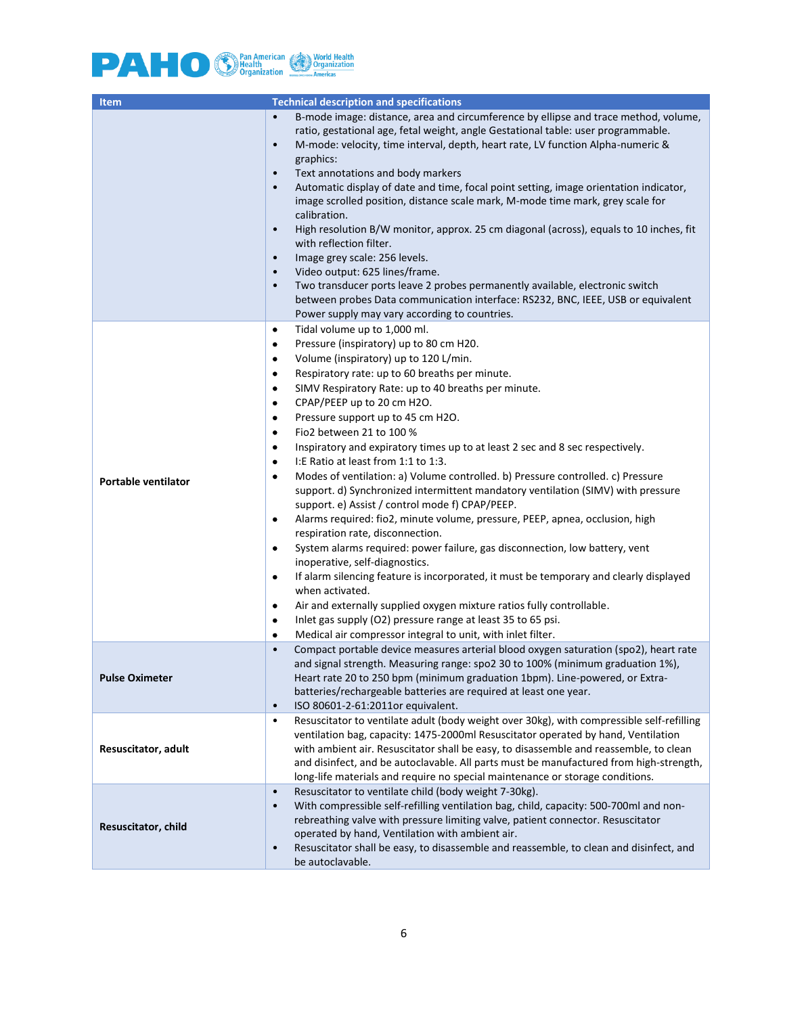

| <b>Item</b>                | <b>Technical description and specifications</b>                                                                                                                                                                                                                                                                                                                                                                                                                                                                                                                                                                                                                                                                                                                                                                                                                                                                                                                                                                                                                                                                                                                                                                                                                                                                                                   |  |  |
|----------------------------|---------------------------------------------------------------------------------------------------------------------------------------------------------------------------------------------------------------------------------------------------------------------------------------------------------------------------------------------------------------------------------------------------------------------------------------------------------------------------------------------------------------------------------------------------------------------------------------------------------------------------------------------------------------------------------------------------------------------------------------------------------------------------------------------------------------------------------------------------------------------------------------------------------------------------------------------------------------------------------------------------------------------------------------------------------------------------------------------------------------------------------------------------------------------------------------------------------------------------------------------------------------------------------------------------------------------------------------------------|--|--|
|                            | B-mode image: distance, area and circumference by ellipse and trace method, volume,<br>$\bullet$<br>ratio, gestational age, fetal weight, angle Gestational table: user programmable.<br>M-mode: velocity, time interval, depth, heart rate, LV function Alpha-numeric &<br>$\bullet$<br>graphics:<br>Text annotations and body markers<br>$\bullet$<br>Automatic display of date and time, focal point setting, image orientation indicator,<br>$\bullet$<br>image scrolled position, distance scale mark, M-mode time mark, grey scale for<br>calibration.<br>High resolution B/W monitor, approx. 25 cm diagonal (across), equals to 10 inches, fit<br>$\bullet$<br>with reflection filter.<br>Image grey scale: 256 levels.<br>$\bullet$<br>Video output: 625 lines/frame.<br>$\bullet$<br>Two transducer ports leave 2 probes permanently available, electronic switch<br>$\bullet$<br>between probes Data communication interface: RS232, BNC, IEEE, USB or equivalent<br>Power supply may vary according to countries.                                                                                                                                                                                                                                                                                                                     |  |  |
| <b>Portable ventilator</b> | Tidal volume up to 1,000 ml.<br>$\bullet$<br>Pressure (inspiratory) up to 80 cm H20.<br>٠<br>Volume (inspiratory) up to 120 L/min.<br>٠<br>Respiratory rate: up to 60 breaths per minute.<br>٠<br>SIMV Respiratory Rate: up to 40 breaths per minute.<br>٠<br>CPAP/PEEP up to 20 cm H2O.<br>$\bullet$<br>Pressure support up to 45 cm H2O.<br>٠<br>Fio2 between 21 to 100 %<br>$\bullet$<br>Inspiratory and expiratory times up to at least 2 sec and 8 sec respectively.<br>٠<br>I: E Ratio at least from 1:1 to 1:3.<br>٠<br>Modes of ventilation: a) Volume controlled. b) Pressure controlled. c) Pressure<br>٠<br>support. d) Synchronized intermittent mandatory ventilation (SIMV) with pressure<br>support. e) Assist / control mode f) CPAP/PEEP.<br>Alarms required: fio2, minute volume, pressure, PEEP, apnea, occlusion, high<br>٠<br>respiration rate, disconnection.<br>System alarms required: power failure, gas disconnection, low battery, vent<br>٠<br>inoperative, self-diagnostics.<br>If alarm silencing feature is incorporated, it must be temporary and clearly displayed<br>٠<br>when activated.<br>Air and externally supplied oxygen mixture ratios fully controllable.<br>٠<br>Inlet gas supply (O2) pressure range at least 35 to 65 psi.<br>٠<br>Medical air compressor integral to unit, with inlet filter.<br>٠ |  |  |
| <b>Pulse Oximeter</b>      | Compact portable device measures arterial blood oxygen saturation (spo2), heart rate<br>$\bullet$<br>and signal strength. Measuring range: spo2 30 to 100% (minimum graduation 1%),<br>Heart rate 20 to 250 bpm (minimum graduation 1bpm). Line-powered, or Extra-<br>batteries/rechargeable batteries are required at least one year.<br>ISO 80601-2-61:2011or equivalent.<br>$\bullet$                                                                                                                                                                                                                                                                                                                                                                                                                                                                                                                                                                                                                                                                                                                                                                                                                                                                                                                                                          |  |  |
| Resuscitator, adult        | Resuscitator to ventilate adult (body weight over 30kg), with compressible self-refilling<br>$\bullet$<br>ventilation bag, capacity: 1475-2000ml Resuscitator operated by hand, Ventilation<br>with ambient air. Resuscitator shall be easy, to disassemble and reassemble, to clean<br>and disinfect, and be autoclavable. All parts must be manufactured from high-strength,<br>long-life materials and require no special maintenance or storage conditions.                                                                                                                                                                                                                                                                                                                                                                                                                                                                                                                                                                                                                                                                                                                                                                                                                                                                                   |  |  |
| Resuscitator, child        | Resuscitator to ventilate child (body weight 7-30kg).<br>$\bullet$<br>With compressible self-refilling ventilation bag, child, capacity: 500-700ml and non-<br>$\bullet$<br>rebreathing valve with pressure limiting valve, patient connector. Resuscitator<br>operated by hand, Ventilation with ambient air.<br>Resuscitator shall be easy, to disassemble and reassemble, to clean and disinfect, and<br>$\bullet$<br>be autoclavable.                                                                                                                                                                                                                                                                                                                                                                                                                                                                                                                                                                                                                                                                                                                                                                                                                                                                                                         |  |  |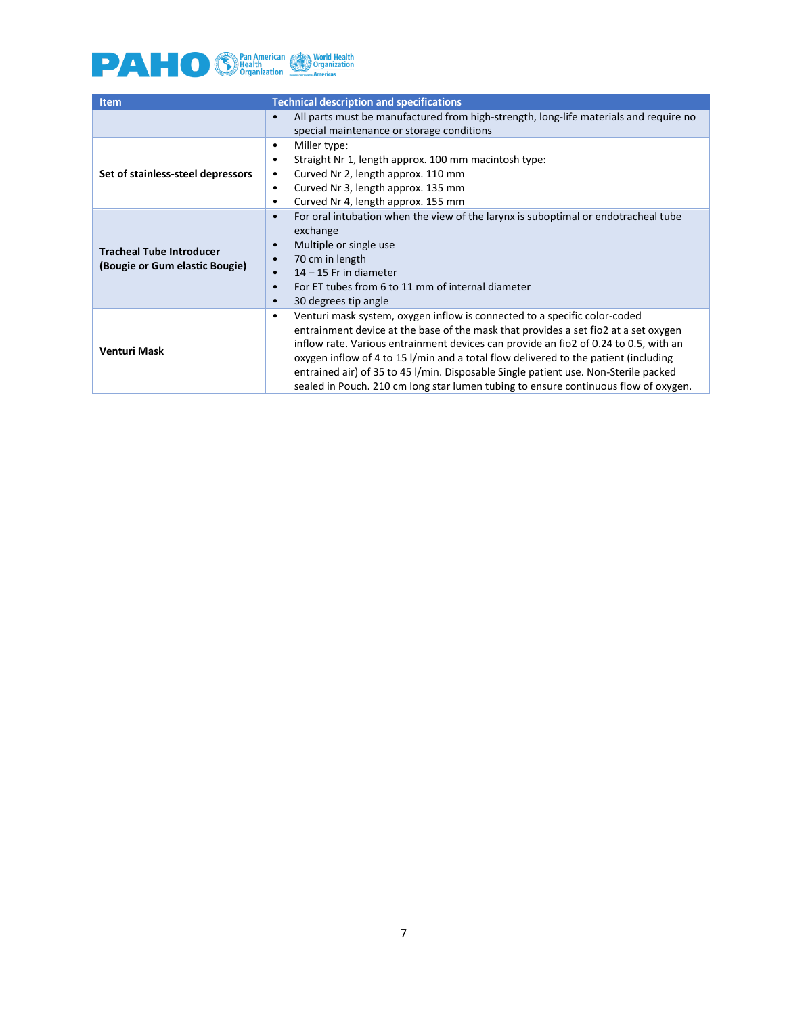

| <b>Item</b>                                                       | <b>Technical description and specifications</b>                                                                                                                                                                                                                                                                                                                                                                                                                                                                                            |
|-------------------------------------------------------------------|--------------------------------------------------------------------------------------------------------------------------------------------------------------------------------------------------------------------------------------------------------------------------------------------------------------------------------------------------------------------------------------------------------------------------------------------------------------------------------------------------------------------------------------------|
|                                                                   | All parts must be manufactured from high-strength, long-life materials and require no<br>$\bullet$<br>special maintenance or storage conditions                                                                                                                                                                                                                                                                                                                                                                                            |
| Set of stainless-steel depressors                                 | Miller type:<br>$\bullet$<br>Straight Nr 1, length approx. 100 mm macintosh type:<br>$\bullet$<br>Curved Nr 2, length approx. 110 mm<br>$\bullet$<br>Curved Nr 3, length approx. 135 mm<br>$\bullet$<br>Curved Nr 4, length approx. 155 mm<br>٠                                                                                                                                                                                                                                                                                            |
| <b>Tracheal Tube Introducer</b><br>(Bougie or Gum elastic Bougie) | For oral intubation when the view of the larynx is suboptimal or endotracheal tube<br>$\bullet$<br>exchange<br>Multiple or single use<br>$\bullet$<br>70 cm in length<br>$\bullet$<br>$14 - 15$ Fr in diameter<br>$\bullet$<br>For ET tubes from 6 to 11 mm of internal diameter<br>$\bullet$<br>30 degrees tip angle<br>$\bullet$                                                                                                                                                                                                         |
| <b>Venturi Mask</b>                                               | Venturi mask system, oxygen inflow is connected to a specific color-coded<br>$\bullet$<br>entrainment device at the base of the mask that provides a set fio2 at a set oxygen<br>inflow rate. Various entrainment devices can provide an fio2 of 0.24 to 0.5, with an<br>oxygen inflow of 4 to 15 l/min and a total flow delivered to the patient (including<br>entrained air) of 35 to 45 I/min. Disposable Single patient use. Non-Sterile packed<br>sealed in Pouch. 210 cm long star lumen tubing to ensure continuous flow of oxygen. |